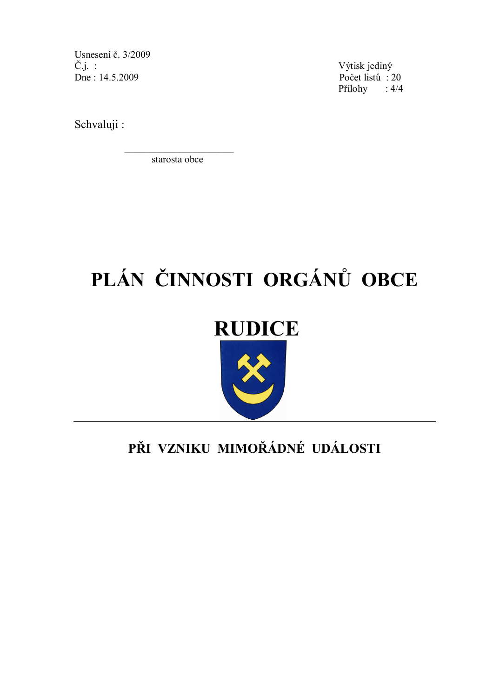Usnesení č. 3/2009  $\check{C}.j.$ : Dne: 14.5.2009

Výtisk jediný Počet listů: 20 Přílohy :  $4/4$ 

Schvaluji:

starosta obce

# PLÁN ČINNOSTI ORGÁNŮ OBCE

# **RUDICE**

# PŘI VZNIKU MIMOŘÁDNÉ UDÁLOSTI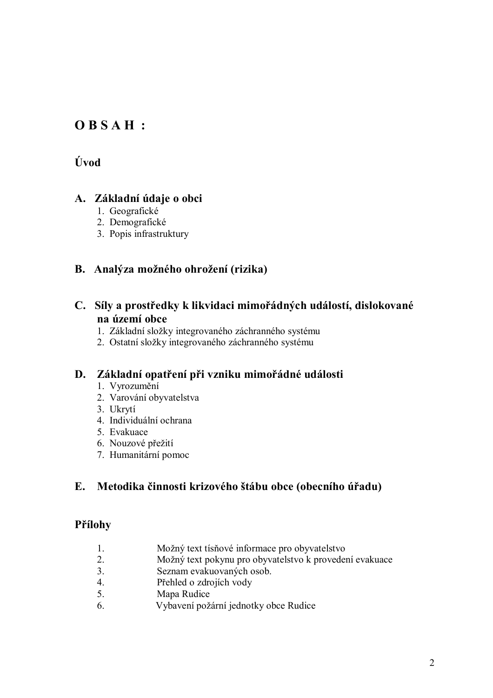#### $OBSAH$ :

#### Úvod

#### A. Základní údaje o obci

- 1. Geografické
- 2. Demografické
- 3. Popis infrastruktury

#### B. Analýza možného ohrožení (rizika)

#### C. Síly a prostředky k likvidaci mimořádných událostí, dislokované na území obce

- 1. Základní složky integrovaného záchranného systému
- 2. Ostatní složky integrovaného záchranného systému

#### D. Základní opatření při vzniku mimořádné události

- 1. Vyrozumění
- 2. Varování obyvatelstva
- 3. Ukrytí
- 4. Individuální ochrana
- 5. Evakuace
- 6. Nouzové přežití
- 7. Humanitární pomoc

#### $E_{\star}$ Metodika činnosti krizového štábu obce (obecního úřadu)

#### Přílohy

- $\mathbf{1}$ Možný text tísňové informace pro obyvatelstvo
- Možný text pokynu pro obyvatelstvo k provedení evakuace  $2.$
- $\mathcal{E}$ Seznam evakuovaných osob.
- Přehled o zdrojích vody  $\overline{4}$
- $5<sub>1</sub>$ Mapa Rudice
- Vybavení požární jednotky obce Rudice 6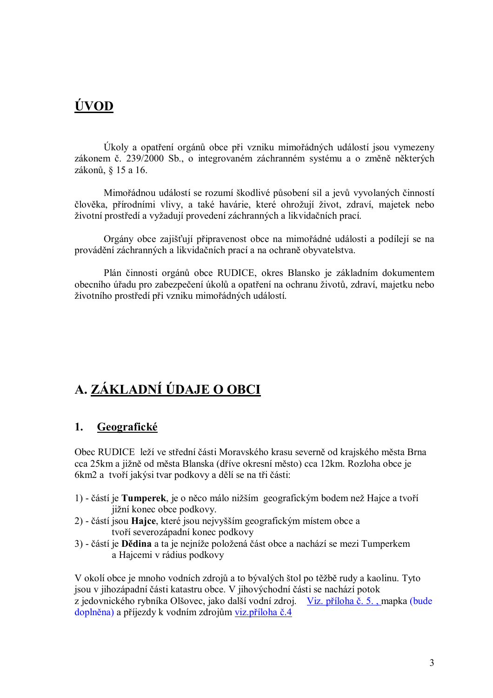# **ÚVOD**

Úkoly a opatření orgánů obce při vzniku mimořádných událostí jsou vymezeny zákonem č. 239/2000 Sb., o integrovaném záchranném systému a o změně některých zákonů, § 15 a 16.

Mimořádnou událostí se rozumí škodlivé působení sil a jevů vyvolaných činností člověka, přírodními vlivy, a také havárie, které ohrožují život, zdraví, majetek nebo životní prostředí a vyžadují provedení záchranných a likvidačních prací.

Orgány obce zajišťují připravenost obce na mimořádné události a podílejí se na provádění záchranných a likvidačních prací a na ochraně obyvatelstva.

Plán činnosti orgánů obce RUDICE, okres Blansko je základním dokumentem obecního úřadu pro zabezpečení úkolů a opatření na ochranu životů, zdraví, majetku nebo životního prostředí při vzniku mimořádných událostí.

# A. ZÁKLADNÍ ÚDAJE O OBCI

#### Geografické  $1.$

Obec RUDICE leží ve střední části Moravského krasu severně od krajského města Brna cca 25km a jižně od města Blanska (dříve okresní město) cca 12km. Rozloha obce je 6km2 a tvoří jakýsi tvar podkovy a dělí se na tři části:

- 1) částí je Tumperek, je o něco málo nižším geografickým bodem než Hajce a tvoří jižní konec obce podkovy.
- 2) částí jsou Hajce, které jsou nejvyšším geografickým místem obce a tvoří severozápadní konec podkovy
- 3) částí je **Dědina** a ta je nejníže položená část obce a nachází se mezi Tumperkem a Hajcemi v rádius podkovy

V okolí obce je mnoho vodních zdrojů a to bývalých štol po těžbě rudy a kaolinu. Tyto jsou v jihozápadní části katastru obce. V jihovýchodní části se nachází potok z jedovnického rybníka Olšovec, jako další vodní zdroj. Viz. příloha č. 5., mapka (bude doplněna) a příjezdy k vodním zdrojům viz příloha č.4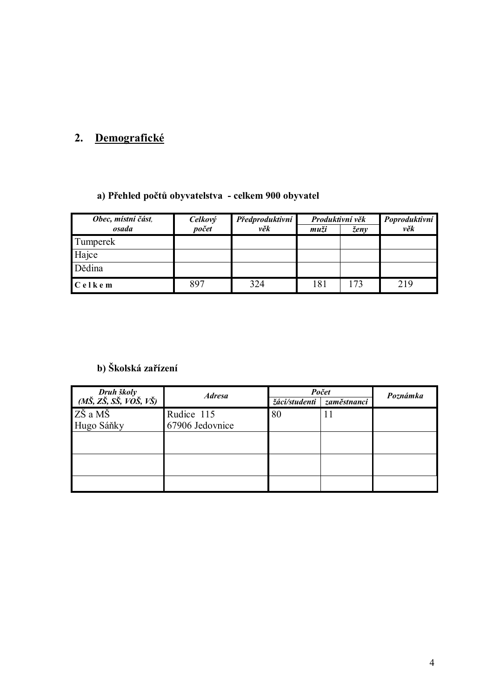## 2. Demografické

#### a) Přehled počtů obyvatelstva - celkem 900 obyvatel

| Obec, místní část,<br>osada | Celkový<br>počet | Předproduktivní<br>věk | Produktivní věk<br>muži | ženy | Poproduktivní<br>věk |
|-----------------------------|------------------|------------------------|-------------------------|------|----------------------|
| Tumperek                    |                  |                        |                         |      |                      |
| Hajce                       |                  |                        |                         |      |                      |
| Dědina                      |                  |                        |                         |      |                      |
| $C$ elkem                   | 897              | 324                    | 181                     | 173  | 219                  |

#### b) Školská zařízení

|                 |               | Počet       | Poznámka |
|-----------------|---------------|-------------|----------|
| <b>Adresa</b>   | žáci/studenti | zaměstnanci |          |
| Rudice 115      | 80            | 11          |          |
| 67906 Jedovnice |               |             |          |
|                 |               |             |          |
|                 |               |             |          |
|                 |               |             |          |
|                 |               |             |          |
|                 |               |             |          |
|                 |               |             |          |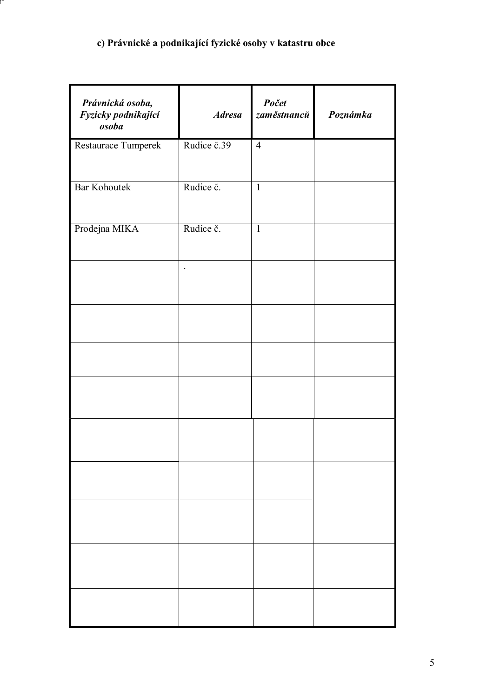#### c) Právnické a podnikající fyzické osoby v katastru obce

| Právnická osoba,<br>Fyzicky podnikající<br>osoba | <b>Adresa</b> | Počet<br>zaměstnanců | Poznámka |
|--------------------------------------------------|---------------|----------------------|----------|
| Restaurace Tumperek                              | Rudice č.39   | $\overline{4}$       |          |
| <b>Bar Kohoutek</b>                              | Rudice č.     | $\mathbf{1}$         |          |
| Prodejna MIKA                                    | Rudice č.     | $\mathbf{1}$         |          |
|                                                  | $\bullet$     |                      |          |
|                                                  |               |                      |          |
|                                                  |               |                      |          |
|                                                  |               |                      |          |
|                                                  |               |                      |          |
|                                                  |               |                      |          |
|                                                  |               |                      |          |
|                                                  |               |                      |          |
|                                                  |               |                      |          |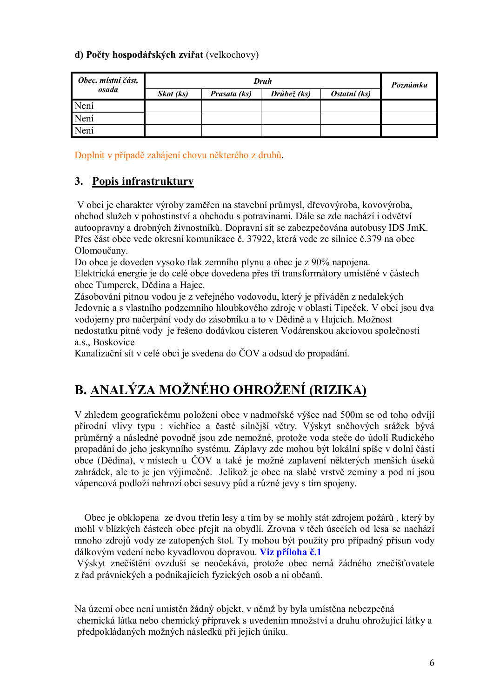#### d) Počty hospodářských zvířat (velkochovy)

| Obec, místní část, |           | Poznámka     |             |              |  |  |
|--------------------|-----------|--------------|-------------|--------------|--|--|
| osada              | Skot (ks) | Prasata (ks) | Drůbež (ks) | Ostatní (ks) |  |  |
| Není               |           |              |             |              |  |  |
| Není               |           |              |             |              |  |  |
| Není               |           |              |             |              |  |  |

Doplnit v případě zahájení chovu některého z druhů.

#### 3. Popis infrastruktury

V obci je charakter výroby zaměřen na stavební průmysl, dřevovýroba, kovovýroba, obchod služeb v pohostinství a obchodu s potravinami. Dále se zde nachází i odvětví autoopravny a drobných živnostníků. Dopravní sít se zabezpečována autobusy IDS JmK. Přes část obce vede okresní komunikace č. 37922, která vede ze silnice č.379 na obec Olomoučany.

Do obce je doveden vysoko tlak zemního plynu a obec je z 90% napojena. Elektrická energie je do celé obce dovedena přes tří transformátory umístěné v částech obce Tumperek, Dědina a Hajce.

Zásobování pitnou vodou je z veřejného vodovodu, který je přiváděn z nedalekých Jedovnic a s vlastního podzemního hloubkového zdroje v oblasti Tipeček. V obci jsou dva vodojemy pro načerpání vody do zásobníku a to v Dědině a v Hajcích. Možnost nedostatku pitné vody je řešeno dodávkou cisteren Vodárenskou akciovou společností a.s., Boskovice

Kanalizační sít v celé obci je svedena do ČOV a odsud do propadání.

# B. ANALÝZA MOŽNÉHO OHROŽENÍ (RIZIKA)

V zhledem geografickému položení obce v nadmořské výšce nad 500m se od toho odvíjí přírodní vlivy typu : vichřice a časté silnější větry. Výskyt sněhových srážek bývá průměrný a následné povodně jsou zde nemožné, protože voda steče do údolí Rudického propadání do jeho jeskynního systému. Záplavy zde mohou být lokální spíše v dolní části obce (Dědina), v místech u ČOV a také je možné zaplavení některých menších úseků zahrádek, ale to je jen výjimečně. Jelikož je obec na slabé vrstvě zeminy a pod ní jsou vápencová podloží nehrozí obci sesuvy půd a různé jevy s tím spojeny.

Obec je obklopena ze dvou třetin lesy a tím by se mohly stát zdrojem požárů, který by mohl v blízkých částech obce přejít na obydlí. Zrovna v těch úsecích od lesa se nachází mnoho zdrojů vody ze zatopených štol. Ty mohou být použity pro případný přísun vody dálkovým vedení nebo kyvadlovou dopravou. Viz příloha č.1

Výskyt znečištění ovzduší se neočekává, protože obec nemá žádného znečišťovatele z řad právnických a podnikajících fyzických osob a ni občanů.

Na území obce není umístěn žádný objekt, v němž by byla umístěna nebezpečná chemická látka nebo chemický přípravek s uvedením množství a druhu ohrožující látky a předpokládaných možných následků při jejich úniku.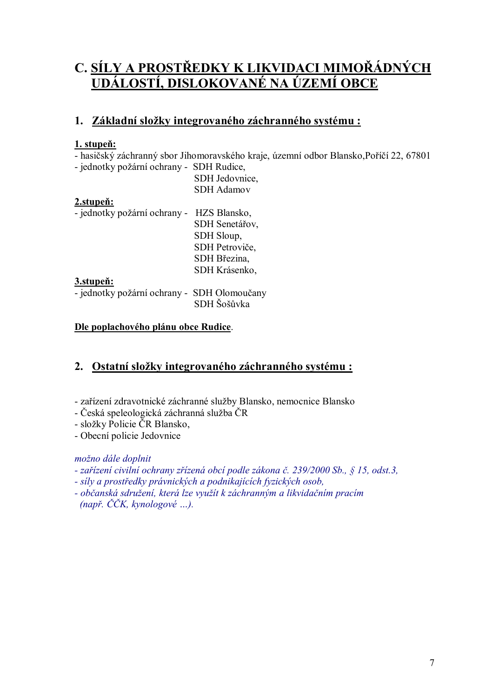# C. <u>SÍLY A PROSTŘEDKY K LIKVIDACI MIMOŘÁDNÝCH</u><br><u>UDÁLOSTÍ, DISLOKOVANÉ NA ÚZEMÍ OBCE</u>

#### 1. Základní složky integrovaného záchranného systému:

#### 1. stupeň:

- hasičský záchranný sbor Jihomoravského kraje, územní odbor Blansko, Poříčí 22, 67801

- jednotky požární ochrany - SDH Rudice,

| SDH Jedovnice,    |
|-------------------|
| <b>SDH</b> Adamov |

#### 2.stuneň:

| - jednotky požární ochrany - HZS Blansko,   |                |
|---------------------------------------------|----------------|
|                                             | SDH Senetářov, |
|                                             | SDH Sloup,     |
|                                             | SDH Petroviče, |
|                                             | SDH Březina,   |
|                                             | SDH Krásenko,  |
| 3.stupen:                                   |                |
| - jednotky požární ochrany - SDH Olomoučany |                |
|                                             | SDH Šošůvka    |

#### Dle poplachového plánu obce Rudice.

#### 2. Ostatní složky integrovaného záchranného systému:

- zařízení zdravotnické záchranné služby Blansko, nemocnice Blansko
- Česká speleologická záchranná služba ČR
- složky Policie ČR Blansko,

- Obecní policie Jedovnice

#### možno dále doplnit

- zařízení civilní ochrany zřízená obcí podle zákona č. 239/2000 Sb., § 15, odst.3,
- síly a prostředky právnických a podnikajících fyzických osob,
- občanská sdružení, která lze využít k záchranným a likvidačním pracím  $(nap\check{r}, \check{C}\check{C}K, kynologov\acute{e}...).$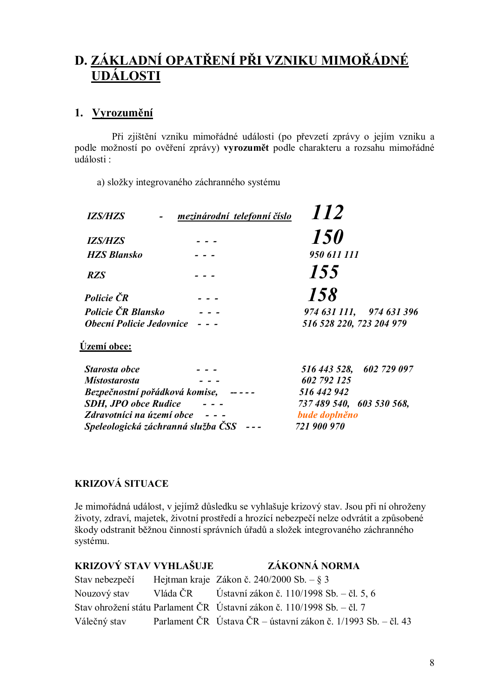# D. ZÁKLADNÍ OPATŘENÍ PŘI VZNIKU MIMOŘÁDNÉ **UDÁLOSTI**

#### 1. Vyrozumění

Při zjištění vzniku mimořádné události (po převzetí zprávy o jejím vzniku a podle možností po ověření zprávy) vyrozumět podle charakteru a rozsahu mimořádné události:

a) složky integrovaného záchranného systému

| <b>IZS/HZS</b>                  | mezinárodní telefonní číslo | 112                      |
|---------------------------------|-----------------------------|--------------------------|
| <b>IZS/HZS</b>                  |                             | <i>150</i>               |
| <b>HZS Blansko</b>              |                             | 950 611 111              |
| <b>RZS</b>                      |                             | 155                      |
| Policie ČR                      |                             | 158                      |
| Policie ČR Blansko              |                             | 974 631 111, 974 631 396 |
| <b>Obecní Policie Jedovnice</b> |                             | 516 528 220, 723 204 979 |
| Území obce:                     |                             |                          |
| Starosta obce                   |                             | 516 443 528, 602 729 097 |

| Suirvsia vvce                  |                                                                                       |                           | $J10$ 44J $J20$ , $002$ (29 $09$ ) |
|--------------------------------|---------------------------------------------------------------------------------------|---------------------------|------------------------------------|
| <b>Místostarosta</b>           |                                                                                       | 602 792 125               |                                    |
| Bezpečnostní pořádková komise, | $\frac{1}{2} \frac{1}{2} \frac{1}{2} \frac{1}{2} \frac{1}{2} \frac{1}{2} \frac{1}{2}$ | 516 442 942               |                                    |
| <b>SDH, JPO obce Rudice</b>    |                                                                                       | 737 489 540, 603 530 568, |                                    |
| Zdravotníci na území obce      | $\frac{1}{2} \left( \frac{1}{2} \right) = \frac{1}{2}$                                | bude doplněno             |                                    |
|                                | Speleologická záchranná služba ČSS ---                                                | 721 900 970               |                                    |
|                                |                                                                                       |                           |                                    |

#### **KRIZOVÁ SITUACE**

Je mimořádná událost, v jejímž důsledku se vyhlašuje krizový stav. Jsou při ní ohroženy životy, zdraví, majetek, životní prostředí a hrozící nebezpečí nelze odvrátit a způsobené škody odstranit běžnou činností správních úřadů a složek integrovaného záchranného systému.

| KRIZOVÝ STAV VYHLAŠUJE | ZÁKONNÁ NORMA                                                              |
|------------------------|----------------------------------------------------------------------------|
|                        | Stav nebezpečí Hejtman kraje Zákon č. 240/2000 Sb. – § 3                   |
|                        | Nouzový stav Vláda ČR Ústavní zákon č. 110/1998 Sb. – čl. 5, 6             |
|                        | Stav ohrožení státu Parlament ČR Ústavní zákon č. 110/1998 Sb. – čl. 7     |
|                        | Válečný stav Parlament ČR Ústava ČR – ústavní zákon č. 1/1993 Sb. – čl. 43 |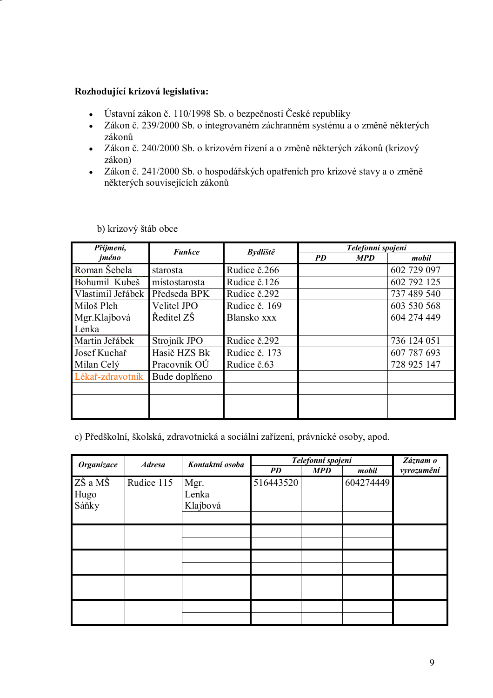#### Rozhodující krizová legislativa:

- Ústavní zákon č. 110/1998 Sb. o bezpečnosti České republiky  $\bullet$
- Zákon č. 239/2000 Sb. o integrovaném záchranném systému a o změně některých  $\bullet$ zákonů
- Zákon č. 240/2000 Sb. o krizovém řízení a o změně některých zákonů (krizový  $\bullet$ zákon)
- Zákon č. 241/2000 Sb. o hospodářských opatřeních pro krizové stavy a o změně  $\bullet$ některých souvisejících zákonů

| Příjmení,         | <b>Funkce</b> | <b>Bydliště</b> |           | Telefonní spojení |             |
|-------------------|---------------|-----------------|-----------|-------------------|-------------|
| jméno             |               |                 | <i>PD</i> | <b>MPD</b>        | mobil       |
| Roman Šebela      | starosta      | Rudice č.266    |           |                   | 602 729 097 |
| Bohumil Kubeš     | místostarosta | Rudice č.126    |           |                   | 602 792 125 |
| Vlastimil Jeřábek | Předseda BPK  | Rudice č.292    |           |                   | 737 489 540 |
| Miloš Plch        | Velitel JPO   | Rudice č. 169   |           |                   | 603 530 568 |
| Mgr.Klajbová      | Ředitel ZŠ    | Blansko xxx     |           |                   | 604 274 449 |
| Lenka             |               |                 |           |                   |             |
| Martin Jeřábek    | Strojník JPO  | Rudice č.292    |           |                   | 736 124 051 |
| Josef Kuchař      | Hasič HZS Bk  | Rudice č. 173   |           |                   | 607 787 693 |
| Milan Celý        | Pracovník OŮ  | Rudice č.63     |           |                   | 728 925 147 |
| Lékař-zdravotník  | Bude doplňeno |                 |           |                   |             |
|                   |               |                 |           |                   |             |
|                   |               |                 |           |                   |             |
|                   |               |                 |           |                   |             |

b) krizový štáb obce

c) Předškolní, školská, zdravotnická a sociální zařízení, právnické osoby, apod.

| Organizace               | <b>Adresa</b> | Kontaktní osoba           | Telefonní spojení |       |            | Záznam o |
|--------------------------|---------------|---------------------------|-------------------|-------|------------|----------|
|                          |               | <b>PD</b>                 | <b>MPD</b>        | mobil | vyrozumění |          |
| ZŠ a MŠ<br>Hugo<br>Sáňky | Rudice 115    | Mgr.<br>Lenka<br>Klajbová | 516443520         |       | 604274449  |          |
|                          |               |                           |                   |       |            |          |
|                          |               |                           |                   |       |            |          |
|                          |               |                           |                   |       |            |          |
|                          |               |                           |                   |       |            |          |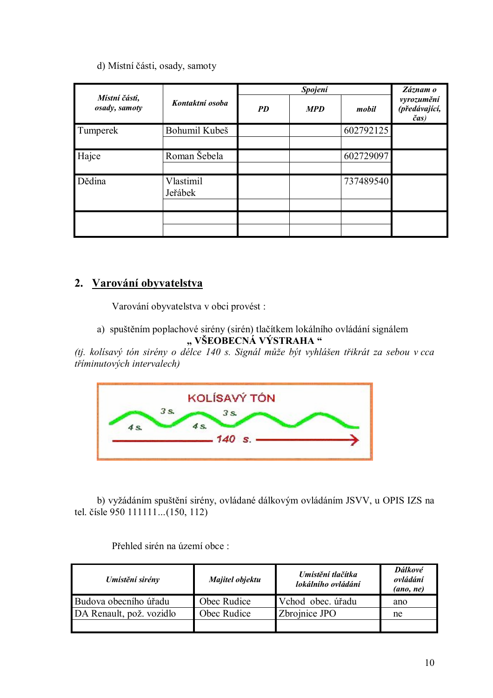#### d) Místní části, osady, samoty

|                                |                      |           | Spojení    |           |                                     |
|--------------------------------|----------------------|-----------|------------|-----------|-------------------------------------|
| Místní části,<br>osady, samoty | Kontaktní osoba      | <b>PD</b> | <b>MPD</b> | mobil     | vyrozumění<br>(předávající,<br>čas) |
| Tumperek                       | Bohumil Kubeš        |           |            | 602792125 |                                     |
| Hajce                          | Roman Šebela         |           |            | 602729097 |                                     |
| Dědina                         | Vlastimil<br>Jeřábek |           |            | 737489540 |                                     |
|                                |                      |           |            |           |                                     |

#### 2. Varování obyvatelstva

Varování obyvatelstva v obci provést :

a) spuštěním poplachové sirény (sirén) tlačítkem lokálního ovládání signálem "VŠEOBECNÁ VÝSTRAHA"

(tj. kolísavý tón sirény o délce 140 s. Signál může být vyhlášen třikrát za sebou v cca tříminutových intervalech)



b) vyžádáním spuštění sirény, ovládané dálkovým ovládáním JSVV, u OPIS IZS na tel. čísle 950 111111...(150, 112)

| Umístění sirény          | Majitel objektu | Umístění tlačítka<br>lokálního ovládání | Dálkové<br>ovládání<br>(ano, ne) |
|--------------------------|-----------------|-----------------------------------------|----------------------------------|
| Budova obecního úřadu    | Obec Rudice     | Vchod obec. úřadu                       | ano                              |
| DA Renault, pož. vozidlo | Obec Rudice     | Zbrojnice JPO                           | ne                               |
|                          |                 |                                         |                                  |

Přehled sirén na území obce :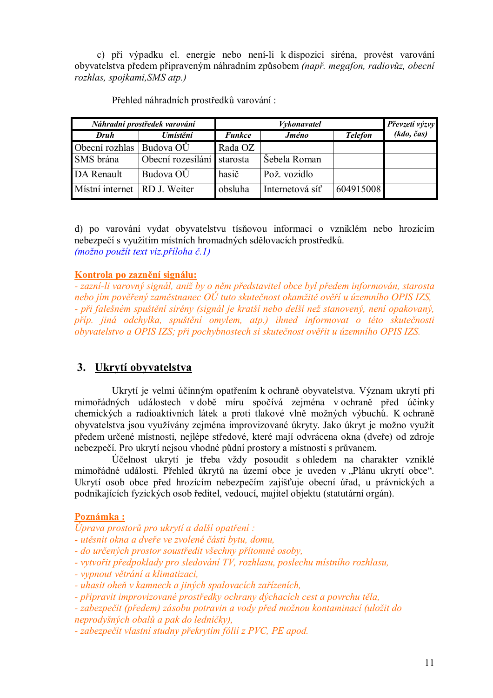c) při výpadku el. energie nebo není-li k dispozici siréna, provést varování obyvatelstva předem připraveným náhradním způsobem (např. megafon, radiovůz, obecní rozhlas, spojkami, SMS atp.)

| Náhradní prostředek varování |                            |               | Převzetí výzvy  |                |            |
|------------------------------|----------------------------|---------------|-----------------|----------------|------------|
| Druh                         | Umístění                   | <b>Funkce</b> | <b>Jméno</b>    | <b>Telefon</b> | (kdo, čas) |
| Obecní rozhlas               | Budova OŬ                  | Rada OZ       |                 |                |            |
| SMS brána                    | Obecní rozesílání starosta |               | Šebela Roman    |                |            |
| DA Renault                   | Budova OŬ                  | hasič         | Pož. vozidlo    |                |            |
| Mistní internet RD J. Weiter |                            | obsluha       | Internetová síť | 604915008      |            |

Přehled náhradních prostředků varování:

d) po varování vydat obyvatelstvu tísňovou informaci o vzniklém nebo hrozícím nebezpečí s využitím místních hromadných sdělovacích prostředků. (možno použít text viz. příloha č. 1)

Kontrola po zaznění signálu:

- zazni-li varovný signál, aniž by o něm představitel obce byl předem informován, starosta nebo iím pověřený zaměstnanec  $O\acute{U}$  tuto skutečnost okamžitě ověří u územního OPIS IZS. - při falešném spuštění sirény (signál je kratší nebo delší než stanovený, není opakovaný, příp. jiná odchylka, spuštění omylem, atp.) ihned informovat o této skutečnosti obyvatelstvo a OPIS IZS; při pochybnostech si skutečnost ověřit u územního OPIS IZS.

#### 3. Ukrytí obyvatelstva

Ukrytí je velmi účinným opatřením k ochraně obyvatelstva. Význam ukrytí při mimořádných událostech v době míru spočívá zejména v ochraně před účinky chemických a radioaktivních látek a proti tlakové vlně možných výbuchů. K ochraně obyvatelstva jsou využívány zejména improvizované úkryty. Jako úkryt je možno využít předem určené místnosti, nejlépe středové, které mají odvrácena okna (dveře) od zdroje nebezpečí. Pro ukrytí nejsou vhodné půdní prostory a místnosti s průvanem.

Účelnost ukrytí je třeba vždy posoudit s ohledem na charakter vzniklé mimořádné události. Přehled úkrytů na území obce je uveden v "Plánu ukrytí obce". Ukrytí osob obce před hrozícím nebezpečím zajišťuje obecní úřad, u právnických a podnikajících fyzických osob ředitel, vedoucí, majitel objektu (statutární orgán).

#### Poznámka:

Úprava prostorů pro ukrytí a další opatření:

- utěsnit okna a dveře ve zvolené části bytu, domu,
- do určených prostor soustředit všechny přítomné osoby,
- vytvořit předpoklady pro sledování TV, rozhlasu, poslechu místního rozhlasu,
- vypnout větrání a klimatizaci,
- uhasit oheň v kamnech a jiných spalovacích zařízeních,

- připravit improvizované prostředky ochrany dýchacích cest a povrchu těla,

- zabezpečit (předem) zásobu potravin a vody před možnou kontaminací (uložit do neprodyšných obalů a pak do ledničky),

- zabezpečit vlastní studny překrytím fólií z PVC, PE apod,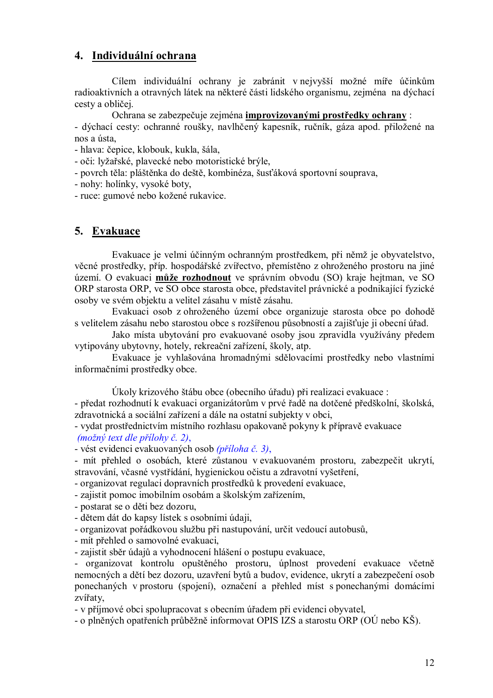#### 4. Individuální ochrana

Cílem individuální ochrany je zabránit v nejvyšší možné míře účinkům radioaktivních a otravných látek na některé části lidského organismu, zejména na dýchací cesty a obličej.

Ochrana se zabezpečuje zejména improvizovanými prostředky ochrany: - dýchací cesty: ochranné roušky, navlhčený kapesník, ručník, gáza apod. přiložené na

nos a ústa,

- hlava: čepice, klobouk, kukla, šála,

- oči: lyžařské, plavecké nebo motoristické brýle,

- povrch těla: pláštěnka do deště, kombinéza, šusťáková sportovní souprava,

- nohy: holínky, vysoké boty,

- ruce: gumové nebo kožené rukavice.

#### 5. Evakuace

Evakuace je velmi účinným ochranným prostředkem, při němž je obyvatelstvo, věcné prostředky, příp. hospodářské zvířectvo, přemístěno z ohroženého prostoru na jiné území. O evakuaci může rozhodnout ve správním obvodu (SO) kraje hejtman, ve SO ORP starosta ORP, ve SO obce starosta obce, představitel právnické a podnikající fyzické osoby ve svém objektu a velitel zásahu v místě zásahu.

Evakuaci osob z ohroženého území obce organizuje starosta obce po dohodě s velitelem zásahu nebo starostou obce s rozšířenou působností a zajišťuje ji obecní úřad.

Jako místa ubytování pro evakuované osoby jsou zpravidla využívány předem vytipovány ubytovny, hotely, rekreační zařízení, školy, atp.

Evakuace je vyhlašována hromadnými sdělovacími prostředky nebo vlastními informačními prostředky obce.

Úkoly krizového štábu obce (obecního úřadu) při realizaci evakuace :

- předat rozhodnutí k evakuaci organizátorům v prvé řadě na dotčené předškolní, školská, zdravotnická a sociální zařízení a dále na ostatní subjekty v obci,

- vydat prostřednictvím místního rozhlasu opakovaně pokyny k přípravě evakuace  $(možný text dle přílohy č. 2)$ ,

- vést evidenci evakuovaných osob (příloha č. 3),

- mít přehled o osobách, které zůstanou v evakuovaném prostoru, zabezpečit ukrytí, stravování, včasné vystřídání, hygienickou očistu a zdravotní vyšetření,

- organizovat regulaci dopravních prostředků k provedení evakuace,

- zajistit pomoc imobilním osobám a školským zařízením.

- postarat se o děti bez dozoru.

- dětem dát do kapsy lístek s osobními údaji,

- organizovat pořádkovou službu při nastupování, určit vedoucí autobusů,

- mít přehled o samovolné evakuaci,

- zajistit sběr údajů a vyhodnocení hlášení o postupu evakuace,

- organizovat kontrolu opuštěného prostoru, úplnost provedení evakuace včetně nemocných a dětí bez dozoru, uzavření bytů a budov, evidence, ukrytí a zabezpečení osob ponechaných v prostoru (spojení), označení a přehled míst s ponechanými domácími zvířaty.

- v příjmové obci spolupracovat s obecním úřadem při evidenci obyvatel,

- o plněných opatřeních průběžně informovat OPIS IZS a starostu ORP (OÚ nebo KŠ).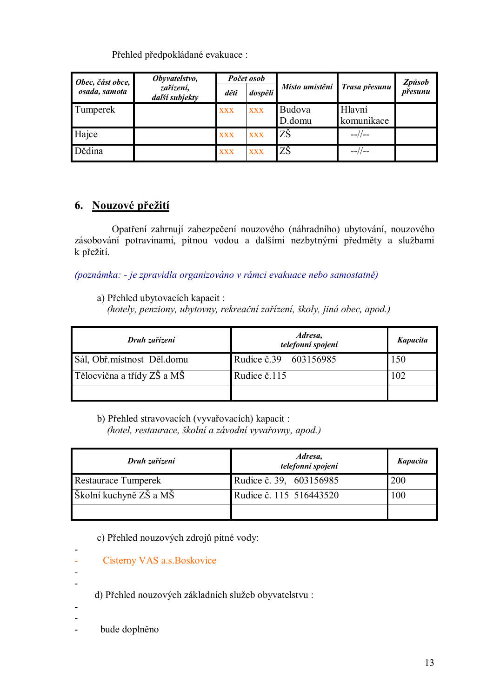Přehled předpokládané evakuace:

| Počet osob<br>Obyvatelstvo,<br>Obec, část obce, |                             |            |            |                              | <b>Způsob</b>        |         |
|-------------------------------------------------|-----------------------------|------------|------------|------------------------------|----------------------|---------|
| osada, samota                                   | zařízení,<br>další subjekty | děti       | dospělí    | Místo umístění Trasa přesunu |                      | přesunu |
| Tumperek                                        |                             | <b>XXX</b> | <b>XXX</b> | Budova<br>D.domu             | Hlavní<br>komunikace |         |
| Hajce                                           |                             | <b>XXX</b> | <b>XXX</b> | ZŠ                           | $-1/1$               |         |
| Dědina                                          |                             | <b>XXX</b> | <b>XXX</b> | ΖŠ                           | $-1/1$               |         |

#### 6. Nouzové přežití

Opatření zahrnují zabezpečení nouzového (náhradního) ubytování, nouzového zásobování potravinami, pitnou vodou a dalšími nezbytnými předměty a službami k přežití.

(poznámka: - je zpravidla organizováno v rámci evakuace nebo samostatně)

a) Přehled ubytovacích kapacit:

(hotely, penziony, ubytovny, rekreační zařízení, školy, jiná obec, apod.)

| Druh zařízení                | Adresa,<br>telefonní spojení | <b>Kapacita</b> |
|------------------------------|------------------------------|-----------------|
| Sál, Obř. místnost Děl. domu | Rudice č.39 603156985        | 150             |
| Tělocvična a třídy ZŠ a MŠ   | Rudice č.115                 | 102             |
|                              |                              |                 |

b) Přehled stravovacích (vyvařovacích) kapacit :

(hotel, restaurace, školní a závodní vyvařovny, apod.)

| Druh zařízení          | Adresa,<br>telefonní spojení | <b>Kapacita</b> |
|------------------------|------------------------------|-----------------|
| Restaurace Tumperek    | Rudice č. 39, 603156985      | <b>200</b>      |
| Školní kuchyně ZŠ a MŠ | Rudice č. 115 516443520      | 100             |
|                        |                              |                 |

c) Přehled nouzových zdrojů pitné vody:

- Cisterny VAS a.s. Boskovice L
- $\overline{a}$

 $\overline{a}$ 

- d) Přehled nouzových základních služeb obyvatelstvu:
- 
- 
- bude doplněno  $\overline{a}$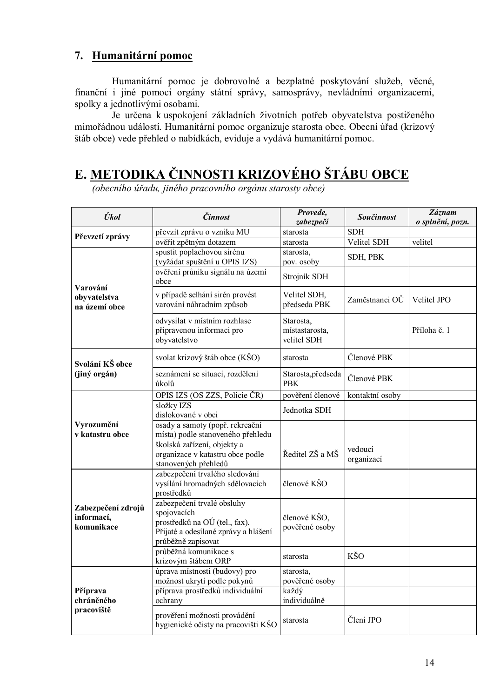#### 7. Humanitární pomoc

Humanitární pomoc je dobrovolné a bezplatné poskytování služeb, věcné, finanční i jiné pomoci orgány státní správy, samosprávy, nevládními organizacemi, spolky a jednotlivými osobami.

Je určena k uspokojení základních životních potřeb obyvatelstva postiženého mimořádnou událostí. Humanitární pomoc organizuje starosta obce. Obecní úřad (krizový štáb obce) vede přehled o nabídkách, eviduje a vydává humanitární pomoc.

# E. METODIKA ČINNOSTI KRIZOVÉHO ŠTÁBU OBCE

(obecního úřadu, jiného pracovního orgánu starosty obce)

| Úkol                                           | Činnost                                                                                                                                  | Provede,<br>zabezpečí                      | Součinnost            | Záznam<br>o splnění, pozn. |
|------------------------------------------------|------------------------------------------------------------------------------------------------------------------------------------------|--------------------------------------------|-----------------------|----------------------------|
| Převzetí zprávy                                | převzít zprávu o vzniku MU                                                                                                               | starosta                                   | <b>SDH</b>            |                            |
|                                                | ověřit zpětným dotazem                                                                                                                   | starosta                                   | Velitel SDH           | velitel                    |
|                                                | spustit poplachovou sirénu<br>(vyžádat spuštění u OPIS IZS)                                                                              | starosta,<br>pov. osoby                    | SDH, PBK              |                            |
| Varování                                       | ověření průniku signálu na území<br>obce                                                                                                 | Strojník SDH                               |                       |                            |
| obyvatelstva<br>na území obce                  | v případě selhání sirén provést<br>varování náhradním způsob                                                                             | Velitel SDH,<br>předseda PBK               | Zaměstnanci OŮ        | Velitel JPO                |
|                                                | odvysílat v místním rozhlase<br>připravenou informaci pro<br>obyvatelstvo                                                                | Starosta,<br>místastarosta,<br>velitel SDH |                       | Příloha č. 1               |
| Svolání KŠ obce                                | svolat krizový štáb obce (KŠO)                                                                                                           | starosta                                   | Členové PBK           |                            |
| (jiný orgán)                                   | seznámení se situací, rozdělení<br>úkolů                                                                                                 | Starosta, předseda<br><b>PBK</b>           | Členové PBK           |                            |
|                                                | OPIS IZS (OS ZZS, Policie ČR)                                                                                                            | pověření členové                           | kontaktní osoby       |                            |
|                                                | složky IZS<br>dislokované v obci                                                                                                         | Jednotka SDH                               |                       |                            |
| Vyrozumění<br>v katastru obce                  | osady a samoty (popř. rekreační<br>místa) podle stanoveného přehledu                                                                     |                                            |                       |                            |
|                                                | školská zařízení, objekty a<br>organizace v katastru obce podle<br>stanovených přehledů                                                  | Ředitel ZŠ a MŠ                            | vedoucí<br>organizací |                            |
|                                                | zabezpečení trvalého sledování<br>vysílání hromadných sdělovacích<br>prostředků                                                          | členové KŠO                                |                       |                            |
| Zabezpečení zdrojů<br>informací,<br>komunikace | zabezpečení trvalé obsluhy<br>spojovacích<br>prostředků na OÚ (tel., fax).<br>Přijaté a odesílané zprávy a hlášení<br>průběžně zapisovat | členové KŠO,<br>pověřené osoby             |                       |                            |
|                                                | průběžná komunikace s<br>krizovým štábem ORP                                                                                             | starosta                                   | KŠO                   |                            |
|                                                | úprava místnosti (budovy) pro<br>možnost ukrytí podle pokynů                                                                             | starosta,<br>pověřené osoby                |                       |                            |
| Příprava<br>chráněného                         | příprava prostředků individuální<br>ochrany                                                                                              | každý<br>individuálně                      |                       |                            |
| pracoviště                                     | prověření možnosti provádění<br>hygienické očisty na pracovišti KŠO                                                                      | starosta                                   | Členi JPO             |                            |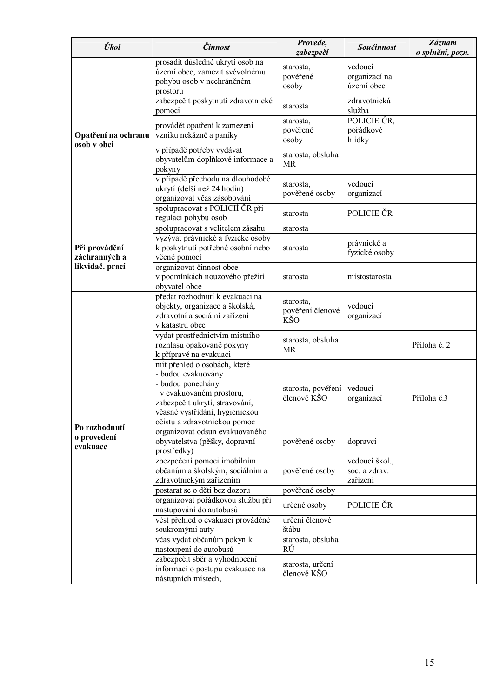| Úkol                               | Činnost                                                                                                                                                                                                | Provede,<br>zabezpečí                | <b>Součinnost</b>                           | Záznam<br>o splnění, pozn. |
|------------------------------------|--------------------------------------------------------------------------------------------------------------------------------------------------------------------------------------------------------|--------------------------------------|---------------------------------------------|----------------------------|
|                                    | prosadit důsledné ukrytí osob na<br>území obce, zamezit svévolnému<br>pohybu osob v nechráněném<br>prostoru                                                                                            | starosta,<br>pověřené<br>osoby       | vedoucí<br>organizací na<br>území obce      |                            |
|                                    | zabezpečit poskytnutí zdravotnické<br>pomoci                                                                                                                                                           | starosta                             | zdravotnická<br>služba                      |                            |
| Opatření na ochranu<br>osob v obci | provádět opatření k zamezení<br>vzniku nekázně a paniky                                                                                                                                                | starosta,<br>pověřené<br>osoby       | POLICIE ČR.<br>pořádkové<br>hlídky          |                            |
|                                    | v případě potřeby vydávat<br>obyvatelům doplňkové informace a<br>pokyny                                                                                                                                | starosta, obsluha<br><b>MR</b>       |                                             |                            |
|                                    | v případě přechodu na dlouhodobé<br>ukrytí (delší než 24 hodin)<br>organizovat včas zásobování                                                                                                         | starosta,<br>pověřené osoby          | vedoucí<br>organizací                       |                            |
|                                    | spolupracovat s POLICIÍ ČR při<br>regulaci pohybu osob                                                                                                                                                 | starosta                             | POLICIE ČR                                  |                            |
|                                    | spolupracovat s velitelem zásahu                                                                                                                                                                       | starosta                             |                                             |                            |
| Při provádění<br>záchranných a     | vyzývat právnické a fyzické osoby<br>k poskytnutí potřebné osobní nebo<br>věcné pomoci                                                                                                                 | starosta                             | právnické a<br>fyzické osoby                |                            |
| likvidač. prací                    | organizovat činnost obce<br>v podmínkách nouzového přežití<br>obyvatel obce                                                                                                                            | starosta                             | místostarosta                               |                            |
|                                    | předat rozhodnutí k evakuaci na<br>objekty, organizace a školská,<br>zdravotní a sociální zařízení<br>v katastru obce                                                                                  | starosta,<br>pověření členové<br>KŠO | vedoucí<br>organizací                       |                            |
|                                    | vydat prostřednictvím místního<br>rozhlasu opakovaně pokyny<br>k přípravě na evakuaci                                                                                                                  | starosta, obsluha<br><b>MR</b>       |                                             | Příloha č. 2               |
| Po rozhodnutí                      | mít přehled o osobách, které<br>- budou evakuovány<br>- budou ponechány<br>v evakuovaném prostoru,<br>zabezpečit ukrytí, stravování,<br>včasné vystřídání, hygienickou<br>očistu a zdravotnickou pomoc | starosta, pověření<br>členové KŠO    | vedoucí<br>organizací                       | Příloha č.3                |
| o provedení<br>evakuace            | organizovat odsun evakuovaného<br>obyvatelstva (pěšky, dopravní<br>prostředky)                                                                                                                         | pověřené osoby                       | dopravci                                    |                            |
|                                    | zbezpečení pomoci imobilním<br>občanům a školským, sociálním a<br>zdravotnickým zařízením                                                                                                              | pověřené osoby                       | vedoucí škol.,<br>soc. a zdrav.<br>zařízení |                            |
|                                    | postarat se o děti bez dozoru                                                                                                                                                                          | pověřené osoby                       |                                             |                            |
|                                    | organizovat pořádkovou službu při<br>nastupování do autobusů                                                                                                                                           | určené osoby                         | POLICIE ČR                                  |                            |
|                                    | vést přehled o evakuaci prováděné<br>soukromými auty                                                                                                                                                   | určení členové<br>štábu              |                                             |                            |
|                                    | včas vydat občanům pokyn k<br>nastoupení do autobusů                                                                                                                                                   | starosta, obsluha<br>RÚ              |                                             |                            |
|                                    | zabezpečit sběr a vyhodnocení<br>informací o postupu evakuace na<br>nástupních místech,                                                                                                                | starosta, určení<br>členové KŠO      |                                             |                            |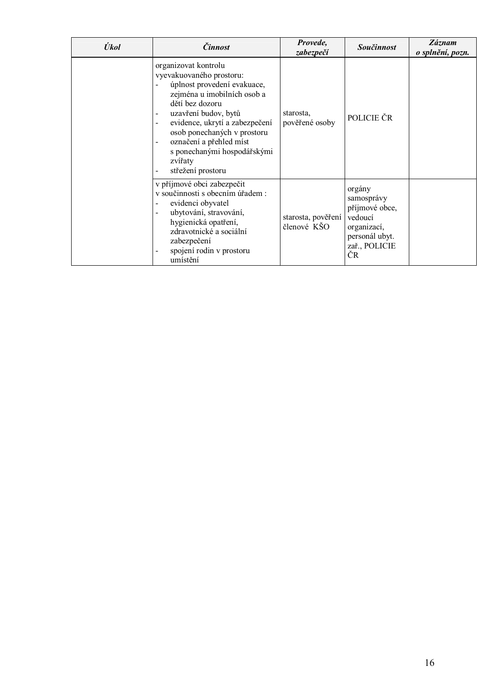| Úkol | <i>Činnost</i>                                                                                                                                                                                                                                                                                                                                                                                                   | Provede,<br>zabezpečí             | <b>Součinnost</b>                                                                                         | Záznam<br>o splnění, pozn. |
|------|------------------------------------------------------------------------------------------------------------------------------------------------------------------------------------------------------------------------------------------------------------------------------------------------------------------------------------------------------------------------------------------------------------------|-----------------------------------|-----------------------------------------------------------------------------------------------------------|----------------------------|
|      | organizovat kontrolu<br>vyevakuovaného prostoru:<br>úplnost provedení evakuace,<br>zejména u imobilních osob a<br>dětí bez dozoru<br>uzavření budov, bytů<br>$\overline{\phantom{a}}$<br>evidence, ukrytí a zabezpečení<br>$\blacksquare$<br>osob ponechaných v prostoru<br>označení a přehled míst<br>$\overline{\phantom{a}}$<br>s ponechanými hospodářskými<br>zvířaty<br>střežení prostoru<br>$\blacksquare$ | starosta,<br>pověřené osoby       | POLICIE ČR                                                                                                |                            |
|      | v příjmové obci zabezpečit<br>v součinnosti s obecním úřadem :<br>evidenci obyvatel<br>$\overline{\phantom{a}}$<br>ubytování, stravování,<br>$\blacksquare$<br>hygienická opatření,<br>zdravotnické a sociální<br>zabezpečení<br>spojení rodin v prostoru<br>$\overline{\phantom{a}}$<br>umístění                                                                                                                | starosta, pověření<br>členové KŠO | orgány<br>samosprávy<br>příjmové obce,<br>vedoucí<br>organizací,<br>personál ubyt.<br>zař., POLICIE<br>ČR |                            |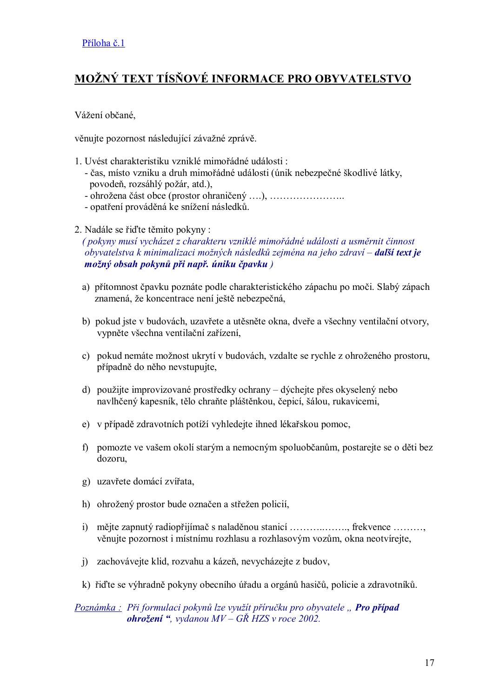## MOŽNÝ TEXT TÍSŇOVÉ INFORMACE PRO OBYVATELSTVO

Vážení občané,

věnujte pozornost následující závažné zprávě.

- 1. Uvést charakteristiku vzniklé mimořádné události : - čas, místo vzniku a druh mimořádné události (únik nebezpečné škodlivé látky, povodeň, rozsáhlý požár, atd.),
	-
	- opatření prováděná ke snížení následků.
- 2. Nadále se řid<sup>2</sup>te těmito pokyny:

(pokyny musí vycházet z charakteru vzniklé mimořádné události a usměrnit činnost obyvatelstva k minimalizaci možných následků zejména na jeho zdraví – další text je možný obsah pokynů při např. úniku čpavku)

- a) přítomnost čpavku poznáte podle charakteristického zápachu po moči. Slabý zápach znamená, že koncentrace není ještě nebezpečná,
- b) pokud jste v budovách, uzavřete a utěsněte okna, dveře a všechny ventilační otvory, vypněte všechna ventilační zařízení,
- c) pokud nemáte možnost ukrytí v budovách, vzdalte se rychle z ohroženého prostoru, případně do něho nevstupujte,
- d) použijte improvizované prostředky ochrany dýchejte přes okyselený nebo navlhčený kapesník, tělo chraňte pláštěnkou, čepicí, šálou, rukavicemi,
- e) v případě zdravotních potíží vyhledejte ihned lékařskou pomoc,
- f) pomozte ve vašem okolí starým a nemocným spoluobčanům, postarejte se o děti bez dozoru.
- g) uzavřete domácí zvířata,
- h) ohrožený prostor bude označen a střežen policií,
- věnujte pozornost i místnímu rozhlasu a rozhlasovým vozům, okna neotvírejte,
- j) zachovávejte klid, rozvahu a kázeň, nevycházejte z budov,
- k) řidte se výhradně pokyny obecního úřadu a orgánů hasičů, policie a zdravotníků.

#### Poznámka: Při formulaci pokynů lze využít příručku pro obyvatele, Pro případ **ohrožení**", vydanou  $MV - G\check{R}$  HZS v roce 2002.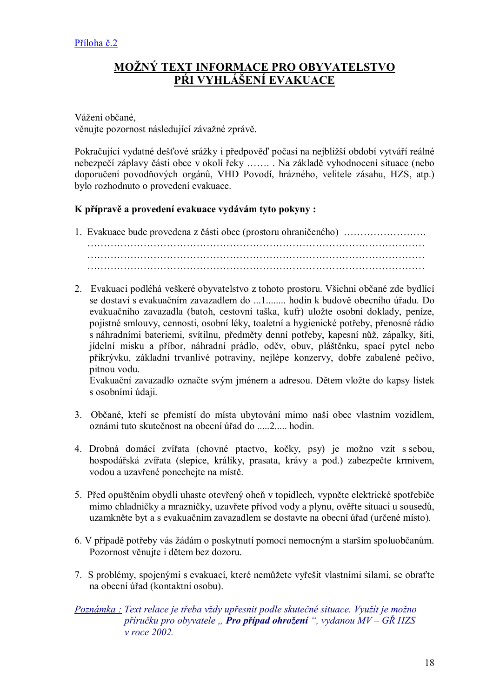#### **MOŽNÝ TEXT INFORMACE PRO OBYVATELSTVO** PŔI VYHLÁŠENÍ EVAKUACE

Vážení občané, věnujte pozornost následující závažné zprávě.

Pokračující vydatné dešťové srážky i předpověď počasí na nejbližší období vytváří reálné nebezpečí záplavy části obce v okolí řeky ....... Na základě vyhodnocení situace (nebo doporučení povodňových orgánů, VHD Povodí, hrázného, velitele zásahu, HZS, atp.) bylo rozhodnuto o provedení evakuace.

#### K přípravě a provedení evakuace vydávám tyto pokyny :

- 
- 2. Evakuaci podléhá veškeré obyvatelstvo z tohoto prostoru. Všichni občané zde bydlící se dostaví s evakuačním zavazadlem do ...1........ hodin k budově obecního úřadu. Do evakuačního zavazadla (batoh, cestovní taška, kufr) uložte osobní doklady, peníze, pojistné smlouvy, cennosti, osobní léky, toaletní a hygienické potřeby, přenosné rádio s náhradními bateriemi, svítilnu, předměty denní potřeby, kapesní nůž, zápalky, šití, jídelní misku a příbor, náhradní prádlo, oděv, obuv, pláštěnku, spací pytel nebo přikrývku, základní trvanlivé potraviny, nejlépe konzervy, dobře zabalené pečivo, pitnou vodu.

Evakuační zavazadlo označte svým jménem a adresou. Dětem vložte do kapsy lístek s osobními údaji.

- 3. Občané, kteří se přemístí do místa ubytování mimo naši obec vlastním vozidlem, oznámí tuto skutečnost na obecní úřad do .....2.... hodin.
- 4. Drobná domácí zvířata (chovné ptactvo, kočky, psy) je možno vzít s sebou, hospodářská zvířata (slepice, králíky, prasata, krávy a pod.) zabezpečte krmivem, vodou a uzavřené ponechejte na místě.
- 5. Před opuštěním obvdlí uhaste otevřený oheň v topidlech, vypněte elektrické spotřebiče mimo chladničky a mrazničky, uzavřete přívod vody a plynu, ověřte situaci u sousedů, uzamkněte byt a s evakuačním zavazadlem se dostavte na obecní úřad (určené místo).
- 6. V případě potřeby vás žádám o poskytnutí pomoci nemocným a starším spoluobčanům. Pozornost věnuite i dětem bez dozoru.
- 7. S problémy, spojenými s evakuací, které nemůžete vyřešit vlastními silami, se obrať te na obecní úřad (kontaktní osobu).

#### Poznámka : Text relace je třeba vždy upřesnit podle skutečné situace. Využít je možno příručku pro obyvatele "Pro případ ohrožení", vydanou  $MV - G\check{R} HZS$  $v$  roce 2002.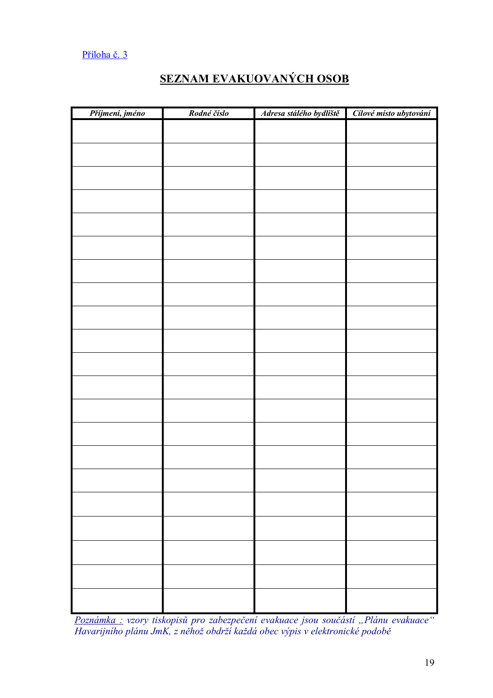#### Příloha č. 3

## **SEZNAM EVAKUOVANÝCH OSOB**

| Příjmení, jméno | Rodné číslo | Adresa stálého bydliště | Cílové místo ubytování |
|-----------------|-------------|-------------------------|------------------------|
|                 |             |                         |                        |
|                 |             |                         |                        |
|                 |             |                         |                        |
|                 |             |                         |                        |
|                 |             |                         |                        |
|                 |             |                         |                        |
|                 |             |                         |                        |
|                 |             |                         |                        |
|                 |             |                         |                        |
|                 |             |                         |                        |
|                 |             |                         |                        |
|                 |             |                         |                        |
|                 |             |                         |                        |
|                 |             |                         |                        |
|                 |             |                         |                        |
|                 |             |                         |                        |
|                 |             |                         |                        |
|                 |             |                         |                        |
|                 |             |                         |                        |
|                 |             |                         |                        |
|                 |             |                         |                        |
|                 |             |                         |                        |
|                 |             |                         |                        |

Poznámka : vzory tiskopisů pro zabezpečení evakuace jsou součástí "Plánu evakuace"<br>Havarijního plánu JmK, z něhož obdrží každá obec výpis v elektronické podobě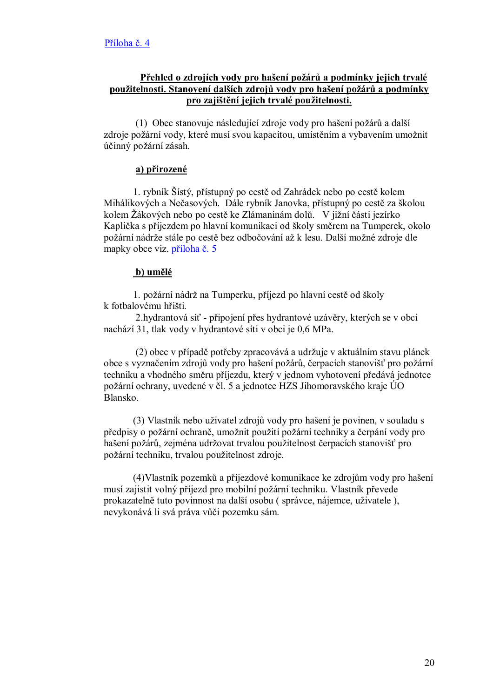#### Přehled o zdrojích vody pro hašení požárů a podmínky jejich trvalé použitelnosti. Stanovení dalších zdrojů vody pro hašení požárů a podmínky pro zajištění jejich trvalé použitelnosti.

(1) Obec stanovuje následující zdroje vody pro hašení požárů a další zdroje požární vody, které musí svou kapacitou, umístěním a vybavením umožnit účinný požární zásah.

#### a) přirozené

1. rybník Šístý, přístupný po cestě od Zahrádek nebo po cestě kolem Mihálikových a Nečasových. Dále rybník Janovka, přístupný po cestě za školou kolem Žákových nebo po cestě ke Zlámaninám dolů. V jižní části jezírko Kaplička s příjezdem po hlavní komunikaci od školy směrem na Tumperek, okolo požární nádrže stále po cestě bez odbočování až k lesu. Další možné zdroje dle mapky obce viz. příloha č. 5

#### b) umělé

1. požární nádrž na Tumperku, příjezd po hlavní cestě od školy k fotbalovému hřišti.

2. hydrantová síť - připojení přes hydrantové uzávěry, kterých se v obci nachází 31, tlak vody v hydrantové síti v obci je 0,6 MPa.

(2) obec v případě potřeby zpracovává a udržuje v aktuálním stavu plánek obce s vyznačením zdrojů vody pro hašení požárů, čerpacích stanovišť pro požární techniku a vhodného směru příjezdu, který v jednom vyhotovení předává jednotce požární ochrany, uvedené v čl. 5 a jednotce HZS Jihomoravského kraje ÚO Blansko.

(3) Vlastník nebo uživatel zdrojů vody pro hašení je povinen, v souladu s předpisy o požární ochraně, umožnit použití požární techniky a čerpání vody pro hašení požárů, zejména udržovat trvalou použitelnost čerpacích stanovišť pro požární techniku, trvalou použitelnost zdroje.

(4) Vlastník pozemků a příjezdové komunikace ke zdrojům vody pro hašení musí zajistit volný příjezd pro mobilní požární techniku. Vlastník převede prokazatelně tuto povinnost na další osobu (správce, nájemce, uživatele), nevykonává li svá práva vůči pozemku sám.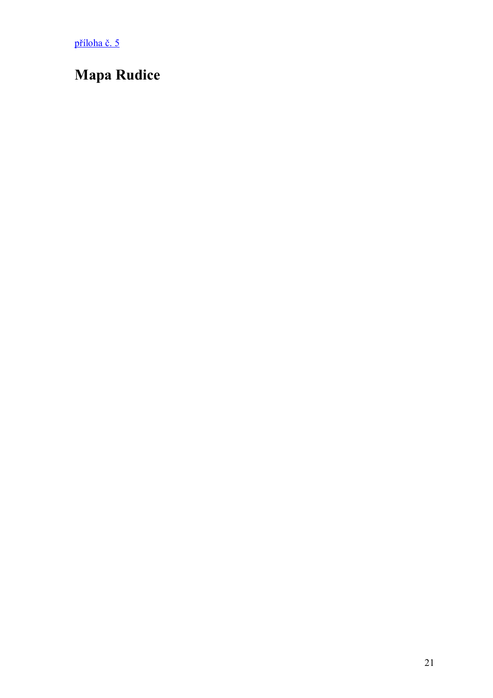příloha č. 5

# **Mapa Rudice**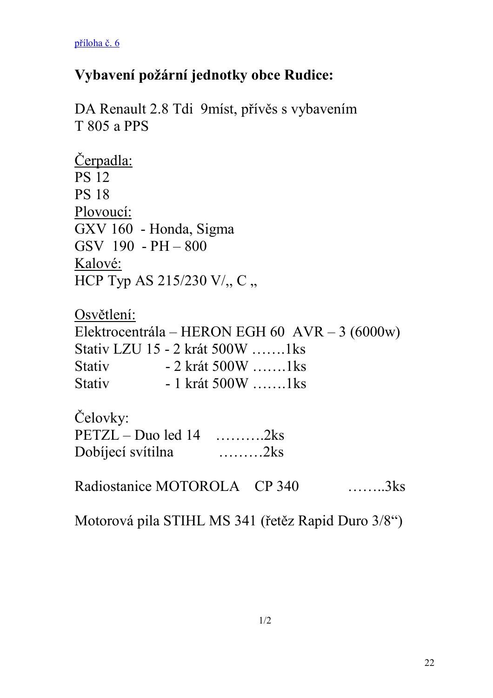příloha č. 6

# Vybavení požární jednotky obce Rudice:

DA Renault 2.8 Tdi 9míst, přívěs s vybavením **T 805 a PPS** 

Čerpadla: **PS 12 PS 18** Plovoucí: GXV 160 - Honda, Sigma GSV 190 - PH - 800 Kalové: HCP Typ AS 215/230 V/,, C,,

Osvětlení: Elektrocentrála – HERON EGH 60 AVR – 3 (6000w) Stativ LZU 15 - 2 krát 500W .......1ks Stativ - 2 krát 500W .......1ks Stativ - 1 krát 500W .......1ks

Čelovky:  $PETZL - Duo$  led 14 ..........2ks Dobíjecí svítilna .........2ks

Radiostanice MOTOROLA CP 340

Motorová pila STIHL MS 341 (řetěz Rapid Duro 3/8")